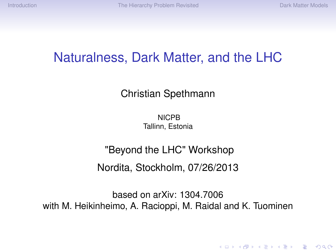KEL KALEY KEY E NAG

## Naturalness, Dark Matter, and the LHC

#### Christian Spethmann

**NICPB** Tallinn, Estonia

# "Beyond the LHC" Workshop

Nordita, Stockholm, 07/26/2013

based on arXiv: 1304.7006 with M. Heikinheimo, A. Racioppi, M. Raidal and K. Tuominen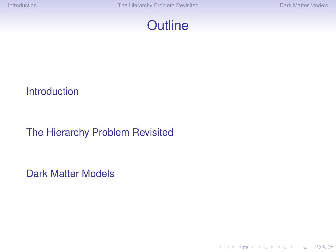

#### [Introduction](#page-2-0)

#### [The Hierarchy Problem Revisited](#page-7-0)

[Dark Matter Models](#page-17-0)

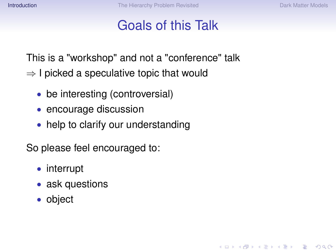**KORKARA KERKER DAGA** 

# Goals of this Talk

This is a "workshop" and not a "conference" talk

- $\Rightarrow$  I picked a speculative topic that would
	- be interesting (controversial)
	- encourage discussion
	- help to clarify our understanding

So please feel encouraged to:

- interrupt
- ask questions
- <span id="page-2-0"></span>• object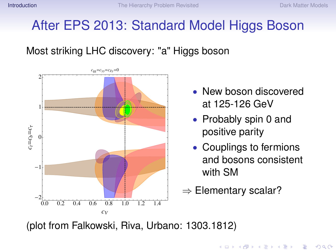# After EPS 2013: Standard Model Higgs Boson

Most striking LHC discovery: "a" Higgs boson



- New boson discovered at 125-126 GeV
- Probably spin 0 and positive parity
- Couplings to fermions and bosons consistent with SM

KEL KALEY KEY E NAG

 $\Rightarrow$  Elementary scalar?

(plot from Falkowski, Riva, Urbano: 1303.1812)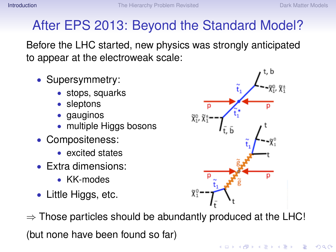# After EPS 2013: Beyond the Standard Model?

Before the LHC started, new physics was strongly anticipated to appear at the electroweak scale:

- Supersymmetry:
	- stops, squarks
	- sleptons
	- gauginos
	- multiple Higgs bosons
- Compositeness:
	- excited states
- Extra dimensions:
	- KK-modes
- Little Higgs, etc.

 $\Rightarrow$  Those particles should be abundantly produced at the LHC! (but none have been found so far)



 $\left\{ \begin{array}{ccc} 1 & 0 & 0 \\ 0 & 1 & 0 \end{array} \right.$ 

 $QQ$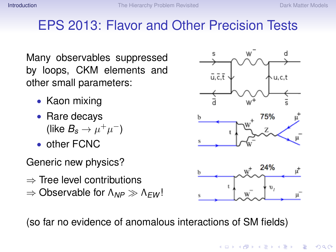#### EPS 2013: Flavor and Other Precision Tests

Many observables suppressed by loops, CKM elements and other small parameters:

- Kaon mixing
- Rare decays (like  $B_s \to \mu^+ \mu^-$ )
- other FCNC

Generic new physics?

- $\Rightarrow$  Tree level contributions
- $\Rightarrow$  Observable for Λ<sub>NP</sub>  $\gg$  Λ<sub>EW</sub>!

(so far no evidence of anomalous interactions of SM fields)



**K ロ ト K 何 ト K ヨ ト K ヨ ト** 

 $2990$ The Co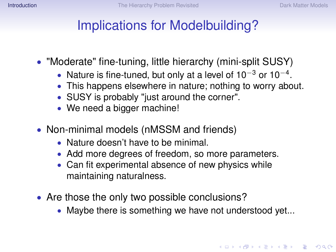# Implications for Modelbuilding?

- "Moderate" fine-tuning, little hierarchy (mini-split SUSY)
	- Nature is fine-tuned, but only at a level of 10<sup>-3</sup> or 10<sup>-4</sup>.
	- This happens elsewhere in nature; nothing to worry about.
	- SUSY is probably "just around the corner".
	- We need a bigger machine!
- Non-minimal models (nMSSM and friends)
	- Nature doesn't have to be minimal.
	- Add more degrees of freedom, so more parameters.
	- Can fit experimental absence of new physics while maintaining naturalness.
- Are those the only two possible conclusions?
	- Maybe there is something we have not understood yet...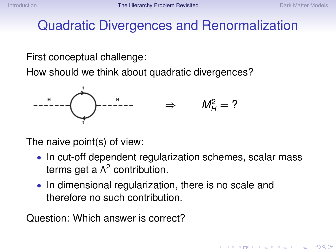# Quadratic Divergences and Renormalization

#### First conceptual challenge:

How should we think about quadratic divergences?



The naive point(s) of view:

- In cut-off dependent regularization schemes, scalar mass terms get a  $\Lambda^2$  contribution.
- In dimensional regularization, there is no scale and therefore no such contribution.

<span id="page-7-0"></span>Question: Which answer is correct?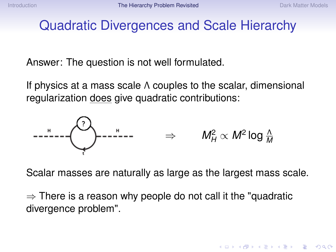**KORKARA KERKER DAGA** 

## Quadratic Divergences and Scale Hierarchy

Answer: The question is not well formulated.

If physics at a mass scale Λ couples to the scalar, dimensional regularization does give quadratic contributions:



Scalar masses are naturally as large as the largest mass scale.

 $\Rightarrow$  There is a reason why people do not call it the "quadratic divergence problem".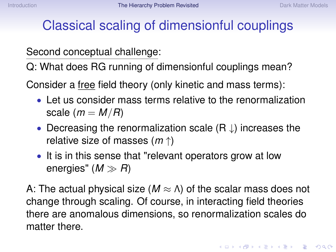# Classical scaling of dimensionful couplings

Second conceptual challenge:

Q: What does RG running of dimensionful couplings mean?

Consider a free field theory (only kinetic and mass terms):

- Let us consider mass terms relative to the renormalization scale  $(m = M/R)$
- Decreasing the renormalization scale  $(R \downarrow)$  increases the relative size of masses (*m* ↑)
- It is in this sense that "relevant operators grow at low energies"  $(M \gg R)$

A: The actual physical size  $(M \approx \Lambda)$  of the scalar mass does not change through scaling. Of course, in interacting field theories there are anomalous dimensions, so renormalization scales do matter there.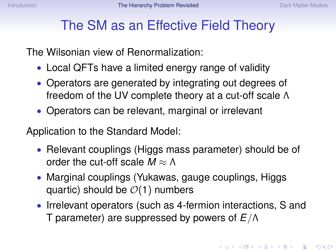### The SM as an Effective Field Theory

The Wilsonian view of Renormalization:

- Local QFTs have a limited energy range of validity
- Operators are generated by integrating out degrees of freedom of the UV complete theory at a cut-off scale Λ
- Operators can be relevant, marginal or irrelevant

Application to the Standard Model:

- Relevant couplings (Higgs mass parameter) should be of order the cut-off scale  $M \approx \Lambda$
- Marginal couplings (Yukawas, gauge couplings, Higgs quartic) should be  $\mathcal{O}(1)$  numbers
- Irrelevant operators (such as 4-fermion interactions, S and T parameter) are suppressed by powers of *E*/Λ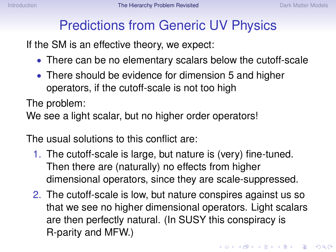## Predictions from Generic UV Physics

If the SM is an effective theory, we expect:

- There can be no elementary scalars below the cutoff-scale
- There should be evidence for dimension 5 and higher operators, if the cutoff-scale is not too high

The problem:

We see a light scalar, but no higher order operators!

The usual solutions to this conflict are:

- 1. The cutoff-scale is large, but nature is (very) fine-tuned. Then there are (naturally) no effects from higher dimensional operators, since they are scale-suppressed.
- 2. The cutoff-scale is low, but nature conspires against us so that we see no higher dimensional operators. Light scalars are then perfectly natural. (In SUSY this conspiracy is R-parity and MFW.)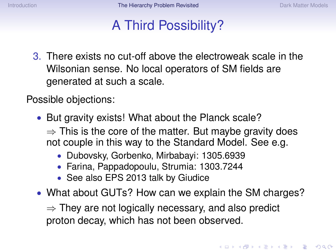### A Third Possibility?

3. There exists no cut-off above the electroweak scale in the Wilsonian sense. No local operators of SM fields are generated at such a scale.

Possible objections:

- But gravity exists! What about the Planck scale?
	- $\Rightarrow$  This is the core of the matter. But maybe gravity does not couple in this way to the Standard Model. See e.g.
		- Dubovsky, Gorbenko, Mirbabayi: 1305.6939
		- Farina, Pappadopoulu, Strumia: 1303.7244
		- See also EPS 2013 talk by Giudice
- What about GUTs? How can we explain the SM charges?

 $\Rightarrow$  They are not logically necessary, and also predict proton decay, which has not been observed.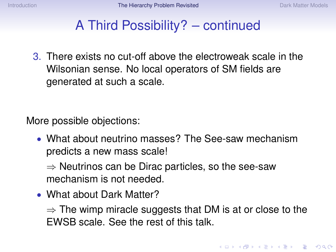#### A Third Possibility? – continued

3. There exists no cut-off above the electroweak scale in the Wilsonian sense. No local operators of SM fields are generated at such a scale.

More possible objections:

• What about neutrino masses? The See-saw mechanism predicts a new mass scale!

 $\Rightarrow$  Neutrinos can be Dirac particles, so the see-saw mechanism is not needed.

• What about Dark Matter?

 $\Rightarrow$  The wimp miracle suggests that DM is at or close to the EWSB scale. See the rest of this talk.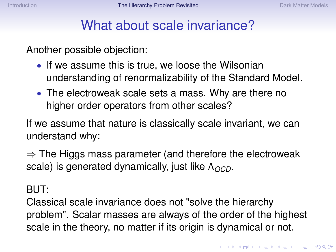### What about scale invariance?

Another possible objection:

- If we assume this is true, we loose the Wilsonian understanding of renormalizability of the Standard Model.
- The electroweak scale sets a mass. Why are there no higher order operators from other scales?

If we assume that nature is classically scale invariant, we can understand why:

 $\Rightarrow$  The Higgs mass parameter (and therefore the electroweak scale) is generated dynamically, just like Λ<sub>*QCD*</sub>.

BUT:

Classical scale invariance does not "solve the hierarchy problem". Scalar masses are always of the order of the highest scale in the theory, no matter if its origin is dynamical or not.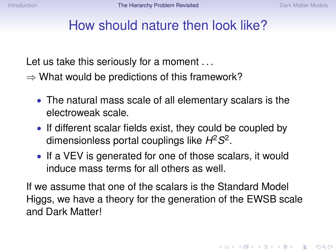### How should nature then look like?

Let us take this seriously for a moment ...

- $\Rightarrow$  What would be predictions of this framework?
	- The natural mass scale of all elementary scalars is the electroweak scale.
	- If different scalar fields exist, they could be coupled by dimensionless portal couplings like *H* 2*S* 2 .
	- If a VEV is generated for one of those scalars, it would induce mass terms for all others as well.

If we assume that one of the scalars is the Standard Model Higgs, we have a theory for the generation of the EWSB scale and Dark Matter!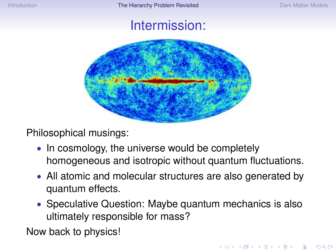#### Intermission:



Philosophical musings:

- In cosmology, the universe would be completely homogeneous and isotropic without quantum fluctuations.
- All atomic and molecular structures are also generated by quantum effects.
- Speculative Question: Maybe quantum mechanics is also ultimately responsible for mass?

Now back to physics!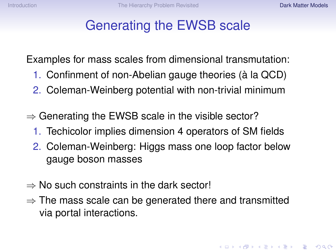# Generating the EWSB scale

Examples for mass scales from dimensional transmutation:

- 1. Confinment of non-Abelian gauge theories (à la QCD)
- 2. Coleman-Weinberg potential with non-trivial minimum
- $\Rightarrow$  Generating the EWSB scale in the visible sector?
	- 1. Techicolor implies dimension 4 operators of SM fields
	- 2. Coleman-Weinberg: Higgs mass one loop factor below gauge boson masses
- $\Rightarrow$  No such constraints in the dark sector!
- <span id="page-17-0"></span> $\Rightarrow$  The mass scale can be generated there and transmitted via portal interactions.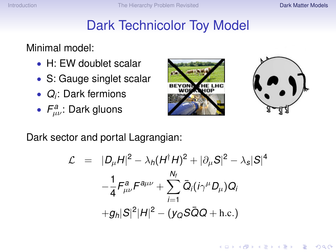# Dark Technicolor Toy Model

#### Minimal model:

- H: EW doublet scalar
- S: Gauge singlet scalar
- *Q<sup>i</sup>* : Dark fermions
- $F^a_{\mu\nu}$ : Dark gluons





**KORKARA KERKER DAGA** 

Dark sector and portal Lagrangian:

$$
\mathcal{L} = |D_{\mu}H|^{2} - \lambda_{h}(H^{\dagger}H)^{2} + |\partial_{\mu}S|^{2} - \lambda_{s}|S|^{4}
$$
  

$$
-\frac{1}{4}F_{\mu\nu}^{a}F^{a\mu\nu} + \sum_{i=1}^{N_{f}}\bar{Q}_{i}(i\gamma^{\mu}D_{\mu})Q_{i}
$$
  
+
$$
g_{h}|S|^{2}|H|^{2} - (y_{Q}S\bar{Q}Q + \text{h.c.})
$$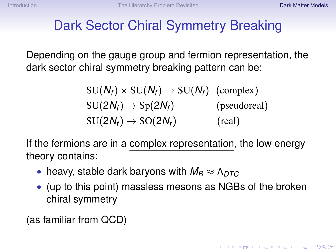# Dark Sector Chiral Symmetry Breaking

Depending on the gauge group and fermion representation, the dark sector chiral symmetry breaking pattern can be:

> $SU(N_f) \times SU(N_f) \rightarrow SU(N_f)$  (complex)  $SU(2N_f) \rightarrow Sp(2N_f)$  (pseudoreal)  $SU(2N_f) \rightarrow SO(2N_f)$  (real)

If the fermions are in a complex representation, the low energy theory contains:

- heavy, stable dark baryons with  $M_B \approx \Lambda_{DTC}$
- (up to this point) massless mesons as NGBs of the broken chiral symmetry

(as familiar from QCD)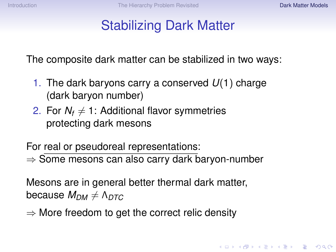# Stabilizing Dark Matter

The composite dark matter can be stabilized in two ways:

- 1. The dark baryons carry a conserved *U*(1) charge (dark baryon number)
- 2. For  $N_f \neq 1$ : Additional flavor symmetries protecting dark mesons

For real or pseudoreal representations: ⇒ Some mesons can also carry dark baryon-number

Mesons are in general better thermal dark matter, because  $M_{DM} \neq \Lambda_{DTC}$ 

 $\Rightarrow$  More freedom to get the correct relic density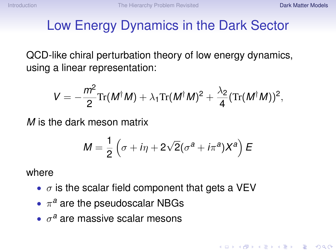# Low Energy Dynamics in the Dark Sector

QCD-like chiral perturbation theory of low energy dynamics, using a linear representation:

$$
V=-\frac{m^2}{2}\mathrm{Tr}(M^{\dagger}M)+\lambda_1\mathrm{Tr}(M^{\dagger}M)^2+\frac{\lambda_2}{4}(\mathrm{Tr}(M^{\dagger}M))^2,
$$

*M* is the dark meson matrix

$$
M=\frac{1}{2}\left(\sigma+i\eta+2\sqrt{2}(\sigma^a+i\pi^a)X^a\right)E
$$

where

- $\sigma$  is the scalar field component that gets a VEV
- $\bullet$   $\pi^a$  are the pseudoscalar NBGs
- $\bullet$   $\sigma^a$  are massive scalar mesons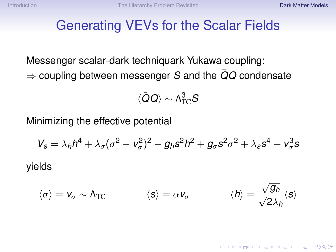#### Generating VEVs for the Scalar Fields

Messenger scalar-dark techniquark Yukawa coupling: ⇒ coupling between messenger *S* and the *QQ*¯ condensate

$$
\langle \bar Q Q \rangle \sim \Lambda_{TC}^3 S
$$

Minimizing the effective potential

$$
V_s = \lambda_h h^4 + \lambda_\sigma (\sigma^2 - v_\sigma^2)^2 - g_h s^2 h^2 + g_\sigma s^2 \sigma^2 + \lambda_s s^4 + v_\sigma^3 s
$$

yields

$$
\langle \sigma \rangle = \mathbf{v}_{\sigma} \sim \Lambda_{\text{TC}} \qquad \qquad \langle \mathbf{s} \rangle = \alpha \mathbf{v}_{\sigma} \qquad \qquad \langle \mathbf{h} \rangle = \frac{\sqrt{g_h}}{\sqrt{2\lambda_h}} \langle \mathbf{s} \rangle
$$

**KORKARA KERKER DAGA**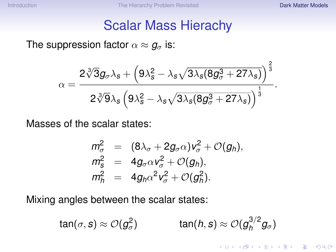K ロ ▶ K @ ▶ K 할 ▶ K 할 ▶ | 할 | K 9 Q Q

#### Scalar Mass Hierachy

#### The suppression factor  $\alpha \approx g_{\sigma}$  is:

$$
\alpha=\frac{2\sqrt[3]{3}g_{\sigma}\lambda_s+\left(9\lambda_s^2-\lambda_s\sqrt{3\lambda_s(8g_{\sigma}^3+27\lambda_s)}\right)^{\frac{2}{3}}}{2\sqrt[3]{9}\lambda_s\left(9\lambda_s^2-\lambda_s\sqrt{3\lambda_s(8g_{\sigma}^3+27\lambda_s)}\right)^{\frac{1}{3}}}.
$$

Masses of the scalar states:

$$
\begin{array}{rcl}\nm_{\sigma}^2 &=& (8\lambda_{\sigma} + 2g_{\sigma}\alpha)v_{\sigma}^2 + \mathcal{O}(g_h), \\
m_{\mathbf{s}}^2 &=& 4g_{\sigma}\alpha v_{\sigma}^2 + \mathcal{O}(g_h), \\
m_h^2 &=& 4g_h\alpha^2v_{\sigma}^2 + \mathcal{O}(g_h^2).\n\end{array}
$$

Mixing angles between the scalar states:

$$
\tan(\sigma, s) \approx \mathcal{O}(g_{\sigma}^2) \quad \tan(h, s) \approx \mathcal{O}(g_h^{3/2}g_{\sigma})
$$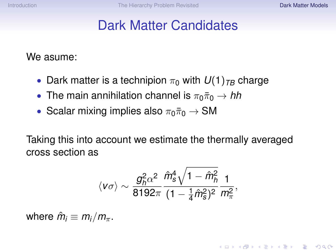**KORKARA KERKER DAGA** 

### Dark Matter Candidates

We asume:

- Dark matter is a technipion  $\pi_0$  with  $U(1)_{TB}$  charge
- The main annihilation channel is  $\pi_0\bar{\pi}_0 \to hh$
- Scalar mixing implies also  $\pi_0\bar{\pi}_0 \rightarrow SM$

Taking this into account we estimate the thermally averaged cross section as

$$
\langle \nu \sigma \rangle \sim \frac{g_h^2 \alpha^2}{8192 \pi} \frac{\hat{m}_s^4 \sqrt{1-\hat{m}_h^2}}{(1-\frac{1}{4}\hat{m}_s^2)^2} \frac{1}{m_\pi^2},
$$

where  $\hat{m}_i \equiv m_i/m_{\pi}$ .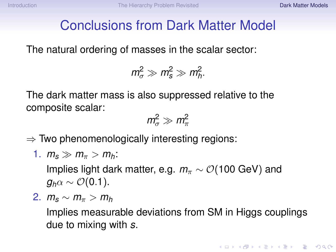# Conclusions from Dark Matter Model

The natural ordering of masses in the scalar sector:

$$
m_{\sigma}^2 \gg m_s^2 \gg m_h^2.
$$

The dark matter mass is also suppressed relative to the composite scalar:

$$
m_{\sigma}^2 \gg m_{\pi}^2
$$

 $\Rightarrow$  Two phenomenologically interesting regions:

1. 
$$
m_s \gg m_\pi > m_h
$$
:

Implies light dark matter, e.g.  $m_{\pi} \sim \mathcal{O}(100 \text{ GeV})$  and  $g_h \alpha \sim \mathcal{O}(0.1)$ .

2.  $m_s \sim m_\pi > m_h$ 

Implies measurable deviations from SM in Higgs couplings due to mixing with *s*.